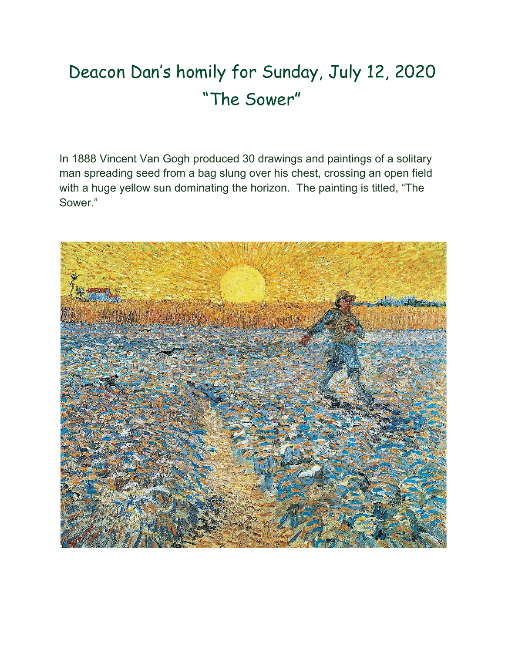## Deacon Dan's homily for Sunday, July 12, 2020 "The Sower"

In 1888 Vincent Van Gogh produced 30 drawings and paintings of a solitary man spreading seed from a bag slung over his chest, crossing an open field with a huge yellow sun dominating the horizon. The painting is titled, "The Sower."

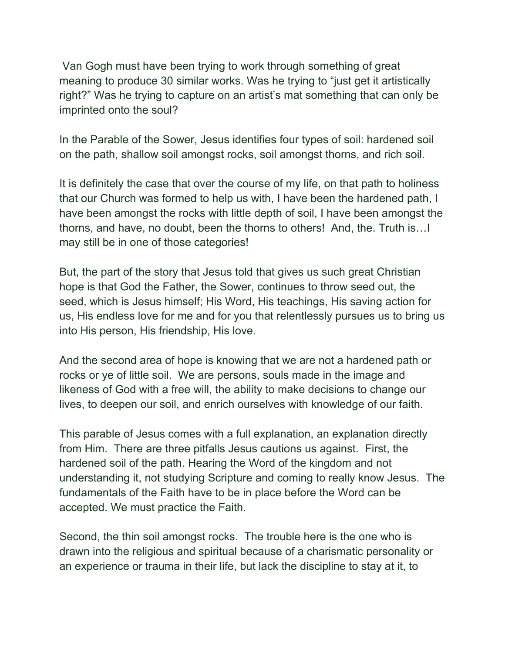Van Gogh must have been trying to work through something of great meaning to produce 30 similar works. Was he trying to "just get it artistically right?" Was he trying to capture on an artist's mat something that can only be imprinted onto the soul?

In the Parable of the Sower, Jesus identifies four types of soil: hardened soil on the path, shallow soil amongst rocks, soil amongst thorns, and rich soil.

It is definitely the case that over the course of my life, on that path to holiness that our Church was formed to help us with, I have been the hardened path, I have been amongst the rocks with little depth of soil, I have been amongst the thorns, and have, no doubt, been the thorns to others! And, the. Truth is…I may still be in one of those categories!

But, the part of the story that Jesus told that gives us such great Christian hope is that God the Father, the Sower, continues to throw seed out, the seed, which is Jesus himself; His Word, His teachings, His saving action for us, His endless love for me and for you that relentlessly pursues us to bring us into His person, His friendship, His love.

And the second area of hope is knowing that we are not a hardened path or rocks or ye of little soil. We are persons, souls made in the image and likeness of God with a free will, the ability to make decisions to change our lives, to deepen our soil, and enrich ourselves with knowledge of our faith.

This parable of Jesus comes with a full explanation, an explanation directly from Him. There are three pitfalls Jesus cautions us against. First, the hardened soil of the path. Hearing the Word of the kingdom and not understanding it, not studying Scripture and coming to really know Jesus. The fundamentals of the Faith have to be in place before the Word can be accepted. We must practice the Faith.

Second, the thin soil amongst rocks. The trouble here is the one who is drawn into the religious and spiritual because of a charismatic personality or an experience or trauma in their life, but lack the discipline to stay at it, to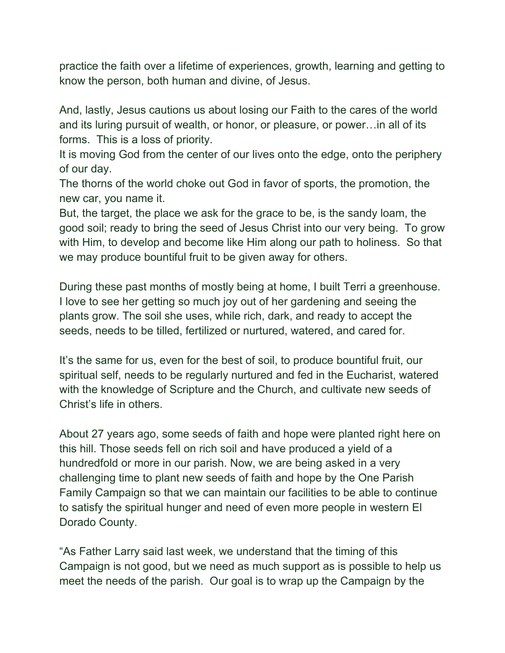practice the faith over a lifetime of experiences, growth, learning and getting to know the person, both human and divine, of Jesus.

And, lastly, Jesus cautions us about losing our Faith to the cares of the world and its luring pursuit of wealth, or honor, or pleasure, or power…in all of its forms. This is a loss of priority.

It is moving God from the center of our lives onto the edge, onto the periphery of our day.

The thorns of the world choke out God in favor of sports, the promotion, the new car, you name it.

But, the target, the place we ask for the grace to be, is the sandy loam, the good soil; ready to bring the seed of Jesus Christ into our very being. To grow with Him, to develop and become like Him along our path to holiness. So that we may produce bountiful fruit to be given away for others.

During these past months of mostly being at home, I built Terri a greenhouse. I love to see her getting so much joy out of her gardening and seeing the plants grow. The soil she uses, while rich, dark, and ready to accept the seeds, needs to be tilled, fertilized or nurtured, watered, and cared for.

It's the same for us, even for the best of soil, to produce bountiful fruit, our spiritual self, needs to be regularly nurtured and fed in the Eucharist, watered with the knowledge of Scripture and the Church, and cultivate new seeds of Christ's life in others.

About 27 years ago, some seeds of faith and hope were planted right here on this hill. Those seeds fell on rich soil and have produced a yield of a hundredfold or more in our parish. Now, we are being asked in a very challenging time to plant new seeds of faith and hope by the One Parish Family Campaign so that we can maintain our facilities to be able to continue to satisfy the spiritual hunger and need of even more people in western El Dorado County.

"As Father Larry said last week, we understand that the timing of this Campaign is not good, but we need as much support as is possible to help us meet the needs of the parish. Our goal is to wrap up the Campaign by the